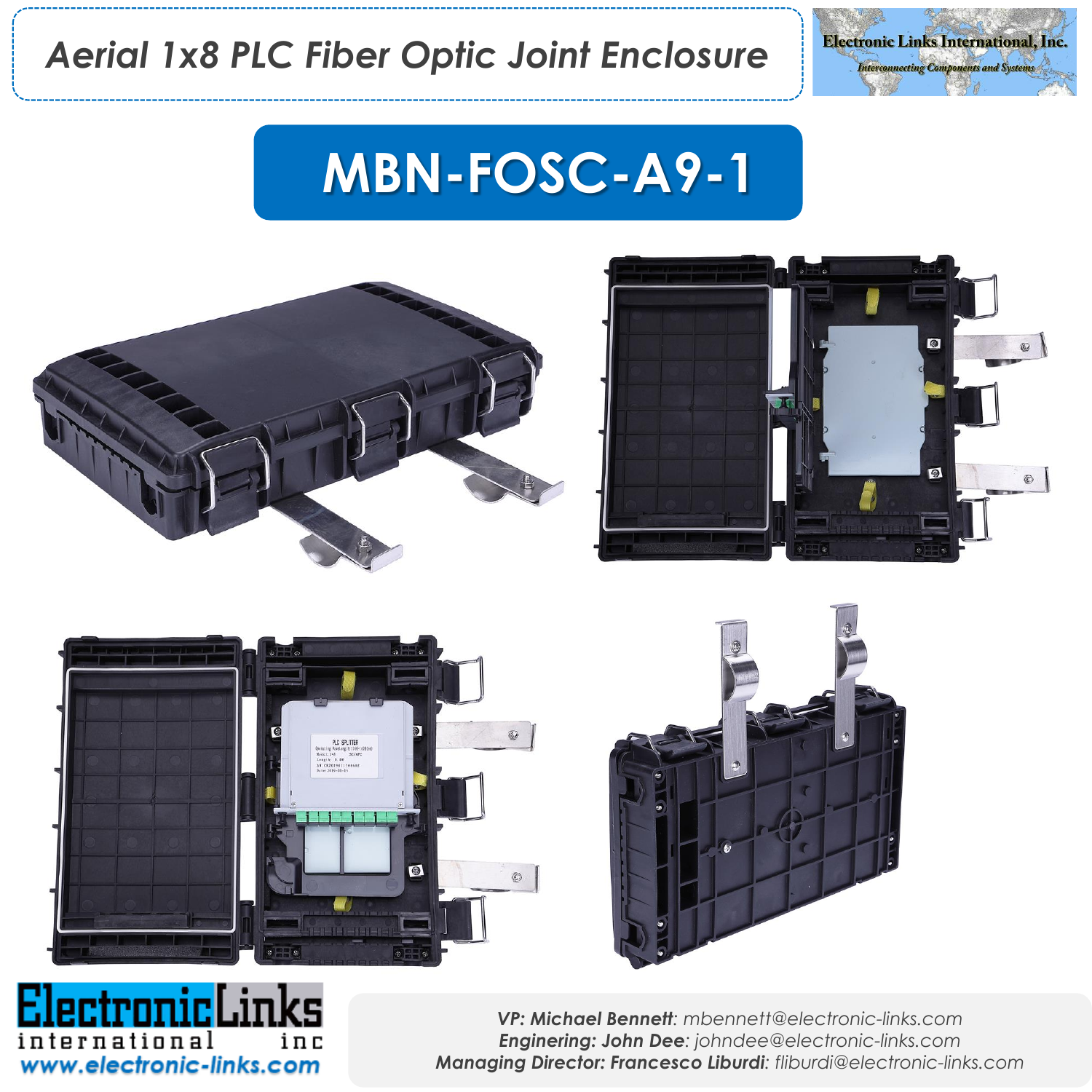## *Aerial 1x8 PLC Fiber Optic Joint Enclosure*



## **MBN-FOSC-A9-1**











*VP: Michael Bennett: mbennett@electronic-links.com Enginering: John Dee: johndee@electronic-links.com Managing Director: Francesco Liburdi: fliburdi@electronic-links.com*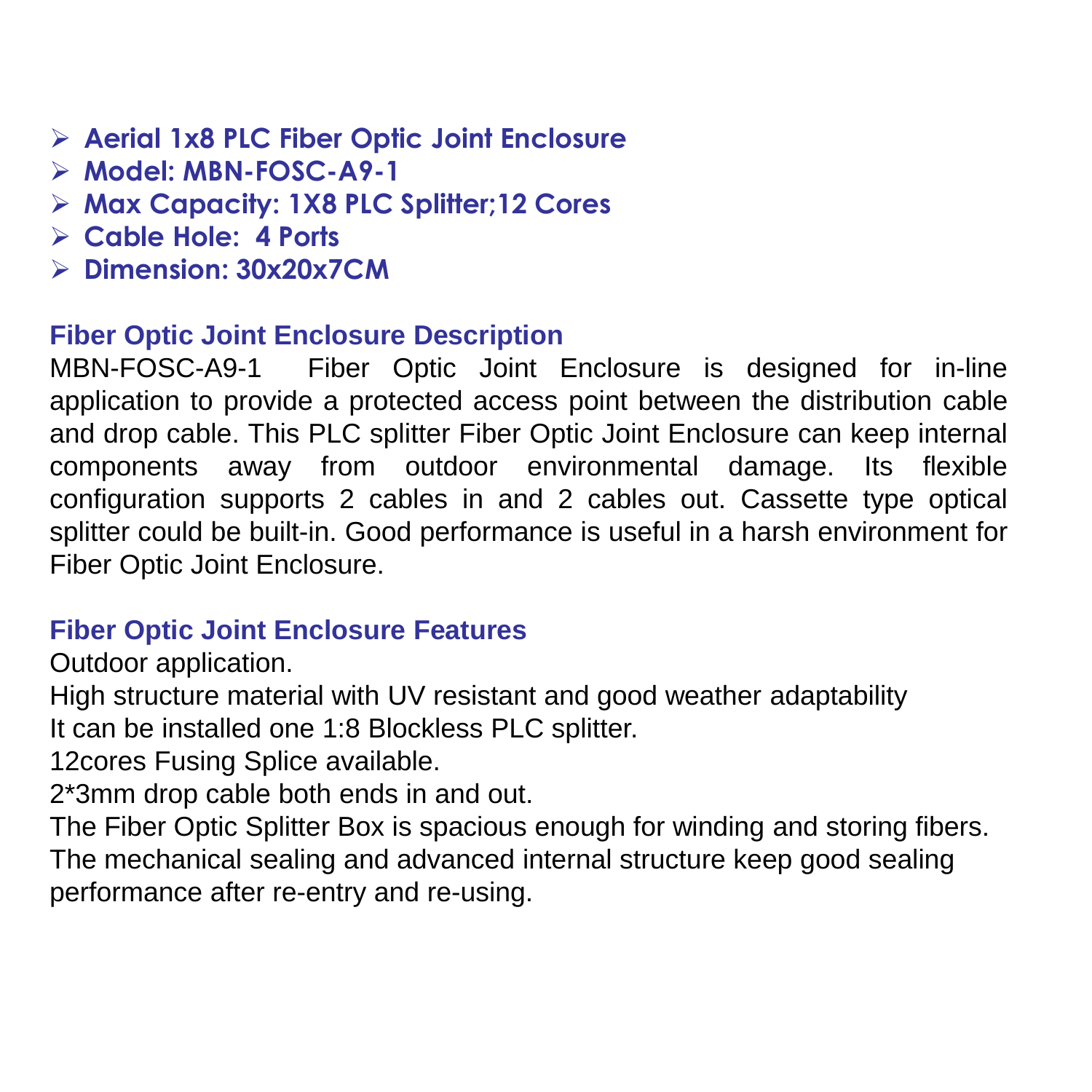- ➢ **Aerial 1x8 PLC Fiber Optic Joint Enclosure**
- ➢ **Model: MBN-FOSC-A9-1**
- ➢ **Max Capacity: 1X8 PLC Splitter;12 Cores**
- ➢ **Cable Hole: 4 Ports**
- ➢ **Dimension: 30x20x7CM**

## **Fiber Optic Joint Enclosure Description**

MBN-FOSC-A9-1 Fiber Optic Joint Enclosure is designed for in-line application to provide a protected access point between the distribution cable and drop cable. This PLC splitter Fiber Optic Joint Enclosure can keep internal components away from outdoor environmental damage. Its flexible configuration supports 2 cables in and 2 cables out. Cassette type optical splitter could be built-in. Good performance is useful in a harsh environment for Fiber Optic Joint Enclosure.

## **Fiber Optic Joint Enclosure Features**

Outdoor application.

High structure material with UV resistant and good weather adaptability It can be installed one 1:8 Blockless PLC splitter.

12cores Fusing Splice available.

2\*3mm drop cable both ends in and out.

The Fiber Optic Splitter Box is spacious enough for winding and storing fibers. The mechanical sealing and advanced internal structure keep good sealing performance after re-entry and re-using.